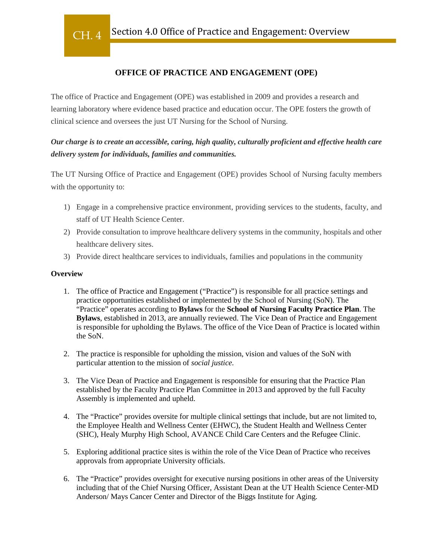## **OFFICE OF PRACTICE AND ENGAGEMENT (OPE)**

The office of Practice and Engagement (OPE) was established in 2009 and provides a research and learning laboratory where evidence based practice and education occur. The OPE fosters the growth of clinical science and oversees the just UT Nursing for the School of Nursing.

# *Our charge is to create an accessible, caring, high quality, culturally proficient and effective health care delivery system for individuals, families and communities.*

The UT Nursing Office of Practice and Engagement (OPE) provides School of Nursing faculty members with the opportunity to:

- 1) Engage in a comprehensive practice environment, providing services to the students, faculty, and staff of UT Health Science Center.
- 2) Provide consultation to improve healthcare delivery systems in the community, hospitals and other healthcare delivery sites.
- 3) Provide direct healthcare services to individuals, families and populations in the community

#### **Overview**

- 1. The office of Practice and Engagement ("Practice") is responsible for all practice settings and practice opportunities established or implemented by the School of Nursing (SoN). The "Practice" operates according to **Bylaws** for the **School of Nursing Faculty Practice Plan**. The **Bylaws**, established in 2013, are annually reviewed. The Vice Dean of Practice and Engagement is responsible for upholding the Bylaws. The office of the Vice Dean of Practice is located within the SoN.
- 2. The practice is responsible for upholding the mission, vision and values of the SoN with particular attention to the mission of *social justice.*
- 3. The Vice Dean of Practice and Engagement is responsible for ensuring that the Practice Plan established by the Faculty Practice Plan Committee in 2013 and approved by the full Faculty Assembly is implemented and upheld.
- 4. The "Practice" provides oversite for multiple clinical settings that include, but are not limited to, the Employee Health and Wellness Center (EHWC), the Student Health and Wellness Center (SHC), Healy Murphy High School, AVANCE Child Care Centers and the Refugee Clinic.
- 5. Exploring additional practice sites is within the role of the Vice Dean of Practice who receives approvals from appropriate University officials.
- 6. The "Practice" provides oversight for executive nursing positions in other areas of the University including that of the Chief Nursing Officer, Assistant Dean at the UT Health Science Center-MD Anderson/ Mays Cancer Center and Director of the Biggs Institute for Aging.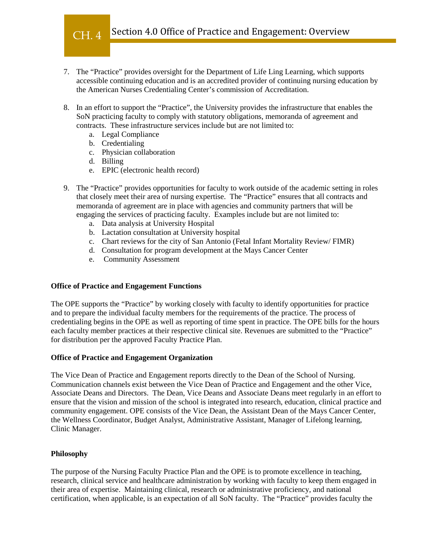

- 7. The "Practice" provides oversight for the Department of Life Ling Learning, which supports accessible continuing education and is an accredited provider of continuing nursing education by the American Nurses Credentialing Center's commission of Accreditation.
- 8. In an effort to support the "Practice", the University provides the infrastructure that enables the SoN practicing faculty to comply with statutory obligations, memoranda of agreement and contracts. These infrastructure services include but are not limited to:
	- a. Legal Compliance
	- b. Credentialing
	- c. Physician collaboration
	- d. Billing
	- e. EPIC (electronic health record)
- 9. The "Practice" provides opportunities for faculty to work outside of the academic setting in roles that closely meet their area of nursing expertise. The "Practice" ensures that all contracts and memoranda of agreement are in place with agencies and community partners that will be engaging the services of practicing faculty. Examples include but are not limited to:
	- a. Data analysis at University Hospital
	- b. Lactation consultation at University hospital
	- c. Chart reviews for the city of San Antonio (Fetal Infant Mortality Review/ FIMR)
	- d. Consultation for program development at the Mays Cancer Center
	- e. Community Assessment

#### **Office of Practice and Engagement Functions**

The OPE supports the "Practice" by working closely with faculty to identify opportunities for practice and to prepare the individual faculty members for the requirements of the practice. The process of credentialing begins in the OPE as well as reporting of time spent in practice. The OPE bills for the hours each faculty member practices at their respective clinical site. Revenues are submitted to the "Practice" for distribution per the approved Faculty Practice Plan.

#### **Office of Practice and Engagement Organization**

The Vice Dean of Practice and Engagement reports directly to the Dean of the School of Nursing. Communication channels exist between the Vice Dean of Practice and Engagement and the other Vice, Associate Deans and Directors. The Dean, Vice Deans and Associate Deans meet regularly in an effort to ensure that the vision and mission of the school is integrated into research, education, clinical practice and community engagement. OPE consists of the Vice Dean, the Assistant Dean of the Mays Cancer Center, the Wellness Coordinator, Budget Analyst, Administrative Assistant, Manager of Lifelong learning, Clinic Manager.

### **Philosophy**

The purpose of the Nursing Faculty Practice Plan and the OPE is to promote excellence in teaching, research, clinical service and healthcare administration by working with faculty to keep them engaged in their area of expertise. Maintaining clinical, research or administrative proficiency, and national certification, when applicable, is an expectation of all SoN faculty. The "Practice" provides faculty the